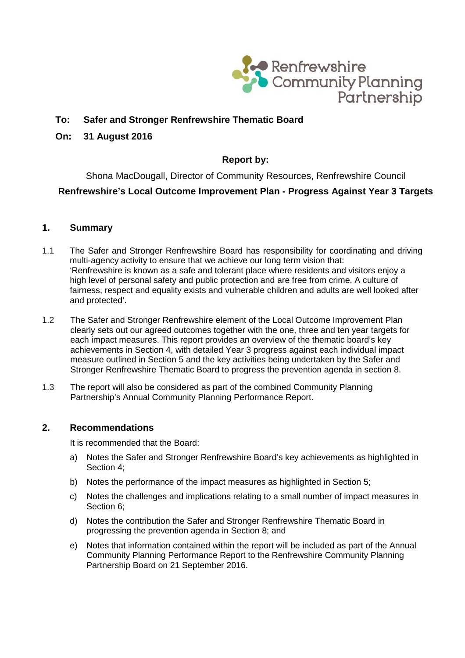

# **To: Safer and Stronger Renfrewshire Thematic Board**

#### **On: 31 August 2016**

# **Report by:**

Shona MacDougall, Director of Community Resources, Renfrewshire Council **Renfrewshire's Local Outcome Improvement Plan - Progress Against Year 3 Targets**

### **1. Summary**

- 1.1 The Safer and Stronger Renfrewshire Board has responsibility for coordinating and driving multi-agency activity to ensure that we achieve our long term vision that: 'Renfrewshire is known as a safe and tolerant place where residents and visitors enjoy a high level of personal safety and public protection and are free from crime. A culture of fairness, respect and equality exists and vulnerable children and adults are well looked after and protected'.
- 1.2 The Safer and Stronger Renfrewshire element of the Local Outcome Improvement Plan clearly sets out our agreed outcomes together with the one, three and ten year targets for each impact measures. This report provides an overview of the thematic board's key achievements in Section 4, with detailed Year 3 progress against each individual impact measure outlined in Section 5 and the key activities being undertaken by the Safer and Stronger Renfrewshire Thematic Board to progress the prevention agenda in section 8.
- 1.3 The report will also be considered as part of the combined Community Planning Partnership's Annual Community Planning Performance Report.

#### **2. Recommendations**

It is recommended that the Board:

- a) Notes the Safer and Stronger Renfrewshire Board's key achievements as highlighted in Section 4;
- b) Notes the performance of the impact measures as highlighted in Section 5;
- c) Notes the challenges and implications relating to a small number of impact measures in Section 6;
- d) Notes the contribution the Safer and Stronger Renfrewshire Thematic Board in progressing the prevention agenda in Section 8; and
- e) Notes that information contained within the report will be included as part of the Annual Community Planning Performance Report to the Renfrewshire Community Planning Partnership Board on 21 September 2016.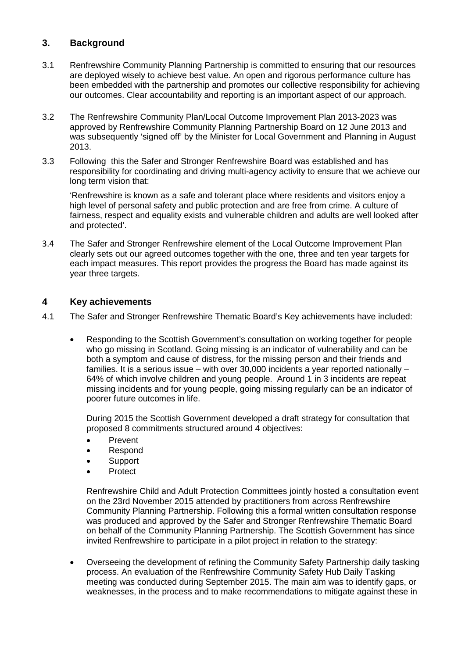### **3. Background**

- 3.1 Renfrewshire Community Planning Partnership is committed to ensuring that our resources are deployed wisely to achieve best value. An open and rigorous performance culture has been embedded with the partnership and promotes our collective responsibility for achieving our outcomes. Clear accountability and reporting is an important aspect of our approach.
- 3.2 The Renfrewshire Community Plan/Local Outcome Improvement Plan 2013-2023 was approved by Renfrewshire Community Planning Partnership Board on 12 June 2013 and was subsequently 'signed off' by the Minister for Local Government and Planning in August 2013.
- 3.3 Following this the Safer and Stronger Renfrewshire Board was established and has responsibility for coordinating and driving multi-agency activity to ensure that we achieve our long term vision that:

'Renfrewshire is known as a safe and tolerant place where residents and visitors enjoy a high level of personal safety and public protection and are free from crime. A culture of fairness, respect and equality exists and vulnerable children and adults are well looked after and protected'.

3.4 The Safer and Stronger Renfrewshire element of the Local Outcome Improvement Plan clearly sets out our agreed outcomes together with the one, three and ten year targets for each impact measures. This report provides the progress the Board has made against its year three targets.

### **4 Key achievements**

- 4.1 The Safer and Stronger Renfrewshire Thematic Board's Key achievements have included:
	- Responding to the Scottish Government's consultation on working together for people who go missing in Scotland. Going missing is an indicator of vulnerability and can be both a symptom and cause of distress, for the missing person and their friends and families. It is a serious issue – with over 30,000 incidents a year reported nationally – 64% of which involve children and young people. Around 1 in 3 incidents are repeat missing incidents and for young people, going missing regularly can be an indicator of poorer future outcomes in life.

During 2015 the Scottish Government developed a draft strategy for consultation that proposed 8 commitments structured around 4 objectives:

- Prevent
- Respond
- Support
- **Protect**

Renfrewshire Child and Adult Protection Committees jointly hosted a consultation event on the 23rd November 2015 attended by practitioners from across Renfrewshire Community Planning Partnership. Following this a formal written consultation response was produced and approved by the Safer and Stronger Renfrewshire Thematic Board on behalf of the Community Planning Partnership. The Scottish Government has since invited Renfrewshire to participate in a pilot project in relation to the strategy:

• Overseeing the development of refining the Community Safety Partnership daily tasking process. An evaluation of the Renfrewshire Community Safety Hub Daily Tasking meeting was conducted during September 2015. The main aim was to identify gaps, or weaknesses, in the process and to make recommendations to mitigate against these in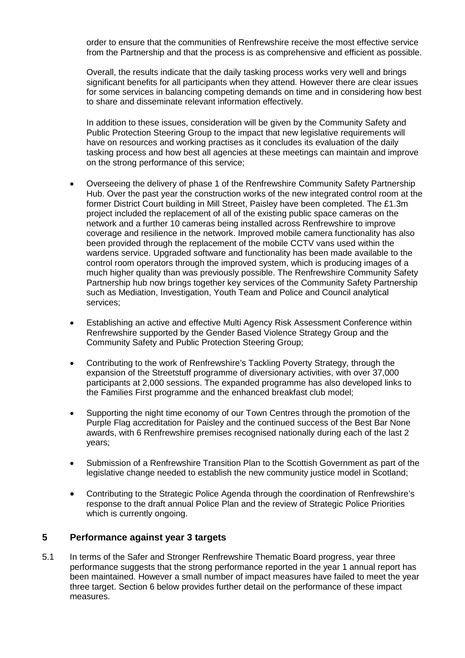order to ensure that the communities of Renfrewshire receive the most effective service from the Partnership and that the process is as comprehensive and efficient as possible.

Overall, the results indicate that the daily tasking process works very well and brings significant benefits for all participants when they attend. However there are clear issues for some services in balancing competing demands on time and in considering how best to share and disseminate relevant information effectively.

In addition to these issues, consideration will be given by the Community Safety and Public Protection Steering Group to the impact that new legislative requirements will have on resources and working practises as it concludes its evaluation of the daily tasking process and how best all agencies at these meetings can maintain and improve on the strong performance of this service;

- Overseeing the delivery of phase 1 of the Renfrewshire Community Safety Partnership Hub. Over the past year the construction works of the new integrated control room at the former District Court building in Mill Street, Paisley have been completed. The £1.3m project included the replacement of all of the existing public space cameras on the network and a further 10 cameras being installed across Renfrewshire to improve coverage and resilience in the network. Improved mobile camera functionality has also been provided through the replacement of the mobile CCTV vans used within the wardens service. Upgraded software and functionality has been made available to the control room operators through the improved system, which is producing images of a much higher quality than was previously possible. The Renfrewshire Community Safety Partnership hub now brings together key services of the Community Safety Partnership such as Mediation, Investigation, Youth Team and Police and Council analytical services;
- Establishing an active and effective Multi Agency Risk Assessment Conference within Renfrewshire supported by the Gender Based Violence Strategy Group and the Community Safety and Public Protection Steering Group;
- Contributing to the work of Renfrewshire's Tackling Poverty Strategy, through the expansion of the Streetstuff programme of diversionary activities, with over 37,000 participants at 2,000 sessions. The expanded programme has also developed links to the Families First programme and the enhanced breakfast club model;
- Supporting the night time economy of our Town Centres through the promotion of the Purple Flag accreditation for Paisley and the continued success of the Best Bar None awards, with 6 Renfrewshire premises recognised nationally during each of the last 2 years;
- Submission of a Renfrewshire Transition Plan to the Scottish Government as part of the legislative change needed to establish the new community justice model in Scotland;
- Contributing to the Strategic Police Agenda through the coordination of Renfrewshire's response to the draft annual Police Plan and the review of Strategic Police Priorities which is currently ongoing.

### **5 Performance against year 3 targets**

5.1 In terms of the Safer and Stronger Renfrewshire Thematic Board progress, year three performance suggests that the strong performance reported in the year 1 annual report has been maintained. However a small number of impact measures have failed to meet the year three target. Section 6 below provides further detail on the performance of these impact measures.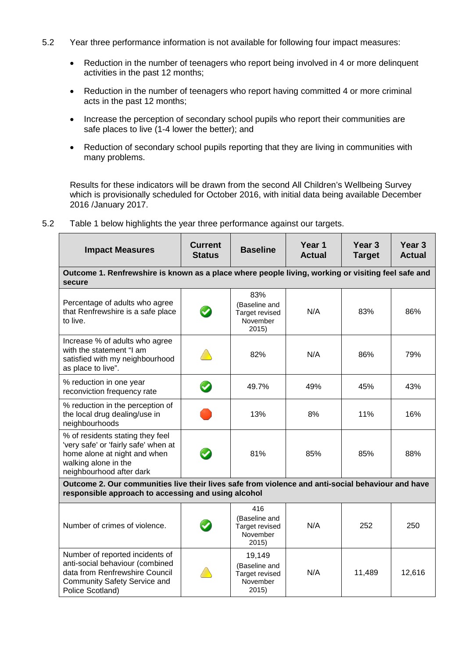- 5.2 Year three performance information is not available for following four impact measures:
	- Reduction in the number of teenagers who report being involved in 4 or more delinquent activities in the past 12 months;
	- Reduction in the number of teenagers who report having committed 4 or more criminal acts in the past 12 months;
	- Increase the perception of secondary school pupils who report their communities are safe places to live (1-4 lower the better); and
	- Reduction of secondary school pupils reporting that they are living in communities with many problems.

Results for these indicators will be drawn from the second All Children's Wellbeing Survey which is provisionally scheduled for October 2016, with initial data being available December 2016 /January 2017.

| <b>Impact Measures</b>                                                                                                                                          | <b>Current</b><br><b>Status</b> | <b>Baseline</b>                                                       | Year 1<br><b>Actual</b> | Year <sub>3</sub><br><b>Target</b> | Year <sub>3</sub><br><b>Actual</b> |  |
|-----------------------------------------------------------------------------------------------------------------------------------------------------------------|---------------------------------|-----------------------------------------------------------------------|-------------------------|------------------------------------|------------------------------------|--|
| Outcome 1. Renfrewshire is known as a place where people living, working or visiting feel safe and<br>secure                                                    |                                 |                                                                       |                         |                                    |                                    |  |
| Percentage of adults who agree<br>that Renfrewshire is a safe place<br>to live.                                                                                 | $\blacktriangledown$            | 83%<br>(Baseline and<br>Target revised<br>November<br>2015            | N/A                     | 83%                                | 86%                                |  |
| Increase % of adults who agree<br>with the statement "I am<br>satisfied with my neighbourhood<br>as place to live".                                             |                                 | 82%                                                                   | N/A                     | 86%                                | 79%                                |  |
| % reduction in one year<br>reconviction frequency rate                                                                                                          |                                 | 49.7%                                                                 | 49%                     | 45%                                | 43%                                |  |
| % reduction in the perception of<br>the local drug dealing/use in<br>neighbourhoods                                                                             |                                 | 13%                                                                   | 8%                      | 11%                                | 16%                                |  |
| % of residents stating they feel<br>'very safe' or 'fairly safe' when at<br>home alone at night and when<br>walking alone in the<br>neighbourhood after dark    |                                 | 81%                                                                   | 85%                     | 85%                                | 88%                                |  |
| Outcome 2. Our communities live their lives safe from violence and anti-social behaviour and have<br>responsible approach to accessing and using alcohol        |                                 |                                                                       |                         |                                    |                                    |  |
| Number of crimes of violence.                                                                                                                                   | $\blacktriangledown$            | 416<br>(Baseline and<br>Target revised<br>November<br>2015            | N/A                     | 252                                | 250                                |  |
| Number of reported incidents of<br>anti-social behaviour (combined<br>data from Renfrewshire Council<br><b>Community Safety Service and</b><br>Police Scotland) |                                 | 19,149<br>(Baseline and<br><b>Target revised</b><br>November<br>2015) | N/A                     | 11,489                             | 12,616                             |  |

5.2 Table 1 below highlights the year three performance against our targets.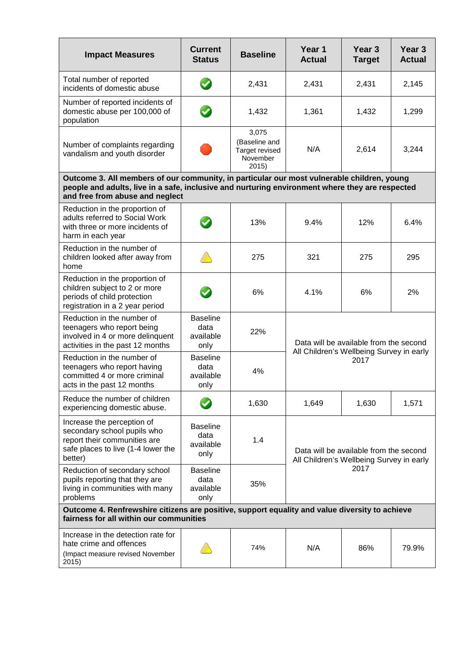| <b>Impact Measures</b>                                                                                                                                                                                                           | <b>Current</b><br><b>Status</b>              | <b>Baseline</b>                                              | Year 1<br><b>Actual</b>                                                                    | Year 3<br><b>Target</b> | Year <sub>3</sub><br><b>Actual</b> |  |  |
|----------------------------------------------------------------------------------------------------------------------------------------------------------------------------------------------------------------------------------|----------------------------------------------|--------------------------------------------------------------|--------------------------------------------------------------------------------------------|-------------------------|------------------------------------|--|--|
| Total number of reported<br>incidents of domestic abuse                                                                                                                                                                          |                                              | 2,431                                                        | 2,431                                                                                      | 2,431                   | 2,145                              |  |  |
| Number of reported incidents of<br>domestic abuse per 100,000 of<br>population                                                                                                                                                   |                                              | 1,432                                                        | 1,361                                                                                      | 1,432                   | 1,299                              |  |  |
| Number of complaints regarding<br>vandalism and youth disorder                                                                                                                                                                   |                                              | 3,075<br>(Baseline and<br>Target revised<br>November<br>2015 | N/A                                                                                        | 2,614                   | 3,244                              |  |  |
| Outcome 3. All members of our community, in particular our most vulnerable children, young<br>people and adults, live in a safe, inclusive and nurturing environment where they are respected<br>and free from abuse and neglect |                                              |                                                              |                                                                                            |                         |                                    |  |  |
| Reduction in the proportion of<br>adults referred to Social Work<br>with three or more incidents of<br>harm in each year                                                                                                         |                                              | 13%                                                          | 9.4%                                                                                       | 12%                     | 6.4%                               |  |  |
| Reduction in the number of<br>children looked after away from<br>home                                                                                                                                                            |                                              | 275                                                          | 321                                                                                        | 275                     | 295                                |  |  |
| Reduction in the proportion of<br>children subject to 2 or more<br>periods of child protection<br>registration in a 2 year period                                                                                                |                                              | 6%                                                           | 4.1%                                                                                       | 6%                      | 2%                                 |  |  |
| Reduction in the number of<br>teenagers who report being<br>involved in 4 or more delinquent<br>activities in the past 12 months                                                                                                 | <b>Baseline</b><br>data<br>available<br>only | 22%                                                          | Data will be available from the second<br>All Children's Wellbeing Survey in early<br>2017 |                         |                                    |  |  |
| Reduction in the number of<br>teenagers who report having<br>committed 4 or more criminal<br>acts in the past 12 months                                                                                                          | <b>Baseline</b><br>data<br>available<br>only | 4%                                                           |                                                                                            |                         |                                    |  |  |
| Reduce the number of children<br>experiencing domestic abuse.                                                                                                                                                                    |                                              | 1,630                                                        | 1,649                                                                                      | 1,630                   | 1,571                              |  |  |
| Increase the perception of<br>secondary school pupils who<br>report their communities are<br>safe places to live (1-4 lower the<br>better)                                                                                       | <b>Baseline</b><br>data<br>available<br>only | 1.4                                                          | Data will be available from the second<br>All Children's Wellbeing Survey in early         |                         |                                    |  |  |
| Reduction of secondary school<br>pupils reporting that they are<br>living in communities with many<br>problems                                                                                                                   | <b>Baseline</b><br>data<br>available<br>only | 35%                                                          | 2017                                                                                       |                         |                                    |  |  |
| Outcome 4. Renfrewshire citizens are positive, support equality and value diversity to achieve<br>fairness for all within our communities                                                                                        |                                              |                                                              |                                                                                            |                         |                                    |  |  |
| Increase in the detection rate for<br>hate crime and offences<br>(Impact measure revised November<br>2015)                                                                                                                       |                                              | 74%                                                          | N/A                                                                                        | 86%                     | 79.9%                              |  |  |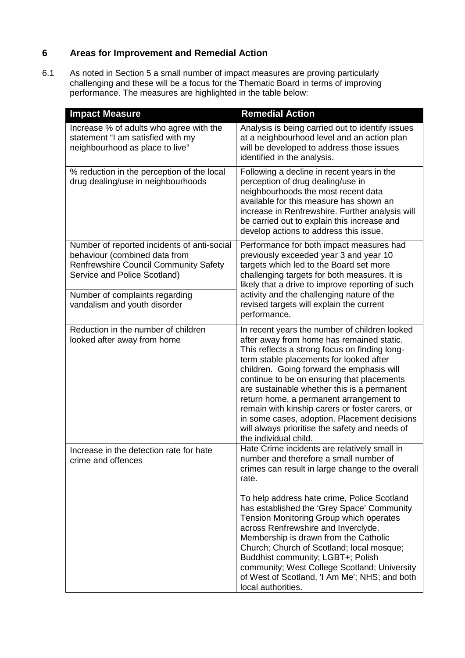# **6 Areas for Improvement and Remedial Action**

6.1 As noted in Section 5 a small number of impact measures are proving particularly challenging and these will be a focus for the Thematic Board in terms of improving performance. The measures are highlighted in the table below:

| <b>Impact Measure</b>                                                                                                                                                                                                          | <b>Remedial Action</b>                                                                                                                                                                                                                                                                                                                                                                                                                                                                                                                                    |  |
|--------------------------------------------------------------------------------------------------------------------------------------------------------------------------------------------------------------------------------|-----------------------------------------------------------------------------------------------------------------------------------------------------------------------------------------------------------------------------------------------------------------------------------------------------------------------------------------------------------------------------------------------------------------------------------------------------------------------------------------------------------------------------------------------------------|--|
| Increase % of adults who agree with the<br>statement "I am satisfied with my<br>neighbourhood as place to live"                                                                                                                | Analysis is being carried out to identify issues<br>at a neighbourhood level and an action plan<br>will be developed to address those issues<br>identified in the analysis.                                                                                                                                                                                                                                                                                                                                                                               |  |
| % reduction in the perception of the local<br>drug dealing/use in neighbourhoods                                                                                                                                               | Following a decline in recent years in the<br>perception of drug dealing/use in<br>neighbourhoods the most recent data<br>available for this measure has shown an<br>increase in Renfrewshire. Further analysis will<br>be carried out to explain this increase and<br>develop actions to address this issue.                                                                                                                                                                                                                                             |  |
| Number of reported incidents of anti-social<br>behaviour (combined data from<br><b>Renfrewshire Council Community Safety</b><br>Service and Police Scotland)<br>Number of complaints regarding<br>vandalism and youth disorder | Performance for both impact measures had<br>previously exceeded year 3 and year 10<br>targets which led to the Board set more<br>challenging targets for both measures. It is<br>likely that a drive to improve reporting of such<br>activity and the challenging nature of the<br>revised targets will explain the current                                                                                                                                                                                                                               |  |
|                                                                                                                                                                                                                                | performance.                                                                                                                                                                                                                                                                                                                                                                                                                                                                                                                                              |  |
| Reduction in the number of children<br>looked after away from home                                                                                                                                                             | In recent years the number of children looked<br>after away from home has remained static.<br>This reflects a strong focus on finding long-<br>term stable placements for looked after<br>children. Going forward the emphasis will<br>continue to be on ensuring that placements<br>are sustainable whether this is a permanent<br>return home, a permanent arrangement to<br>remain with kinship carers or foster carers, or<br>in some cases, adoption. Placement decisions<br>will always prioritise the safety and needs of<br>the individual child. |  |
| Increase in the detection rate for hate<br>crime and offences                                                                                                                                                                  | Hate Crime incidents are relatively small in<br>number and therefore a small number of<br>crimes can result in large change to the overall<br>rate.                                                                                                                                                                                                                                                                                                                                                                                                       |  |
|                                                                                                                                                                                                                                | To help address hate crime, Police Scotland<br>has established the 'Grey Space' Community<br>Tension Monitoring Group which operates<br>across Renfrewshire and Inverclyde.<br>Membership is drawn from the Catholic<br>Church; Church of Scotland; local mosque;<br>Buddhist community; LGBT+; Polish<br>community; West College Scotland; University<br>of West of Scotland, 'I Am Me'; NHS; and both<br>local authorities.                                                                                                                             |  |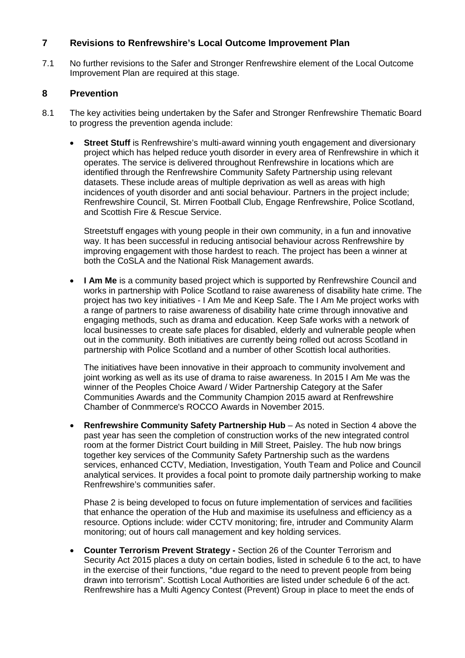# **7 Revisions to Renfrewshire's Local Outcome Improvement Plan**

7.1 No further revisions to the Safer and Stronger Renfrewshire element of the Local Outcome Improvement Plan are required at this stage.

### **8 Prevention**

- 8.1 The key activities being undertaken by the Safer and Stronger Renfrewshire Thematic Board to progress the prevention agenda include:
	- **Street Stuff** is Renfrewshire's multi-award winning youth engagement and diversionary project which has helped reduce youth disorder in every area of Renfrewshire in which it operates. The service is delivered throughout Renfrewshire in locations which are identified through the Renfrewshire Community Safety Partnership using relevant datasets. These include areas of multiple deprivation as well as areas with high incidences of youth disorder and anti social behaviour. Partners in the project include; Renfrewshire Council, St. Mirren Football Club, Engage Renfrewshire, Police Scotland, and Scottish Fire & Rescue Service.

Streetstuff engages with young people in their own community, in a fun and innovative way. It has been successful in reducing antisocial behaviour across Renfrewshire by improving engagement with those hardest to reach. The project has been a winner at both the CoSLA and the National Risk Management awards.

• **I Am Me** is a community based project which is supported by Renfrewshire Council and works in partnership with Police Scotland to raise awareness of disability hate crime. The project has two key initiatives - I Am Me and Keep Safe. The I Am Me project works with a range of partners to raise awareness of disability hate crime through innovative and engaging methods, such as drama and education. Keep Safe works with a network of local businesses to create safe places for disabled, elderly and vulnerable people when out in the community. Both initiatives are currently being rolled out across Scotland in partnership with Police Scotland and a number of other Scottish local authorities.

The initiatives have been innovative in their approach to community involvement and joint working as well as its use of drama to raise awareness. In 2015 I Am Me was the winner of the Peoples Choice Award / Wider Partnership Category at the Safer Communities Awards and the Community Champion 2015 award at Renfrewshire Chamber of Conmmerce's ROCCO Awards in November 2015.

• **Renfrewshire Community Safety Partnership Hub** – As noted in Section 4 above the past year has seen the completion of construction works of the new integrated control room at the former District Court building in Mill Street, Paisley. The hub now brings together key services of the Community Safety Partnership such as the wardens services, enhanced CCTV, Mediation, Investigation, Youth Team and Police and Council analytical services. It provides a focal point to promote daily partnership working to make Renfrewshire's communities safer.

Phase 2 is being developed to focus on future implementation of services and facilities that enhance the operation of the Hub and maximise its usefulness and efficiency as a resource. Options include: wider CCTV monitoring; fire, intruder and Community Alarm monitoring; out of hours call management and key holding services.

• **Counter Terrorism Prevent Strategy -** Section 26 of the Counter Terrorism and Security Act 2015 places a duty on certain bodies, listed in schedule 6 to the act, to have in the exercise of their functions, "due regard to the need to prevent people from being drawn into terrorism". Scottish Local Authorities are listed under schedule 6 of the act. Renfrewshire has a Multi Agency Contest (Prevent) Group in place to meet the ends of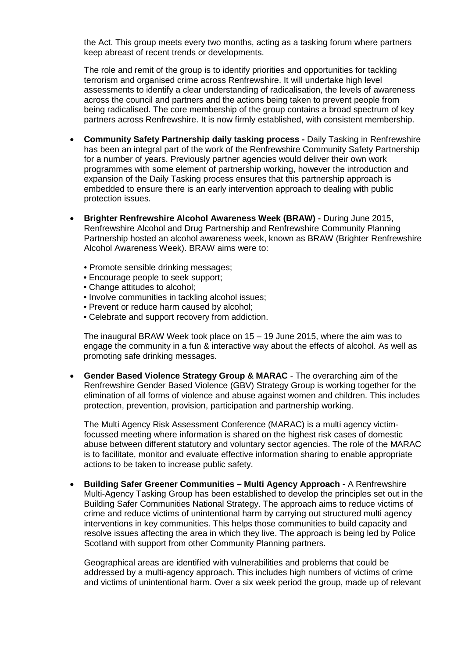the Act. This group meets every two months, acting as a tasking forum where partners keep abreast of recent trends or developments.

The role and remit of the group is to identify priorities and opportunities for tackling terrorism and organised crime across Renfrewshire. It will undertake high level assessments to identify a clear understanding of radicalisation, the levels of awareness across the council and partners and the actions being taken to prevent people from being radicalised. The core membership of the group contains a broad spectrum of key partners across Renfrewshire. It is now firmly established, with consistent membership.

- **Community Safety Partnership daily tasking process -** Daily Tasking in Renfrewshire has been an integral part of the work of the Renfrewshire Community Safety Partnership for a number of years. Previously partner agencies would deliver their own work programmes with some element of partnership working, however the introduction and expansion of the Daily Tasking process ensures that this partnership approach is embedded to ensure there is an early intervention approach to dealing with public protection issues.
- **Brighter Renfrewshire Alcohol Awareness Week (BRAW) -** During June 2015, Renfrewshire Alcohol and Drug Partnership and Renfrewshire Community Planning Partnership hosted an alcohol awareness week, known as BRAW (Brighter Renfrewshire Alcohol Awareness Week). BRAW aims were to:
	- Promote sensible drinking messages;
	- Encourage people to seek support;
	- Change attitudes to alcohol:
	- Involve communities in tackling alcohol issues;
	- Prevent or reduce harm caused by alcohol;
	- Celebrate and support recovery from addiction.

The inaugural BRAW Week took place on 15 – 19 June 2015, where the aim was to engage the community in a fun & interactive way about the effects of alcohol. As well as promoting safe drinking messages.

• **Gender Based Violence Strategy Group & MARAC** - The overarching aim of the Renfrewshire Gender Based Violence (GBV) Strategy Group is working together for the elimination of all forms of violence and abuse against women and children. This includes protection, prevention, provision, participation and partnership working.

The Multi Agency Risk Assessment Conference (MARAC) is a multi agency victimfocussed meeting where information is shared on the highest risk cases of domestic abuse between different statutory and voluntary sector agencies. The role of the MARAC is to facilitate, monitor and evaluate effective information sharing to enable appropriate actions to be taken to increase public safety.

• **Building Safer Greener Communities – Multi Agency Approach** - A Renfrewshire Multi-Agency Tasking Group has been established to develop the principles set out in the Building Safer Communities National Strategy. The approach aims to reduce victims of crime and reduce victims of unintentional harm by carrying out structured multi agency interventions in key communities. This helps those communities to build capacity and resolve issues affecting the area in which they live. The approach is being led by Police Scotland with support from other Community Planning partners.

Geographical areas are identified with vulnerabilities and problems that could be addressed by a multi-agency approach. This includes high numbers of victims of crime and victims of unintentional harm. Over a six week period the group, made up of relevant